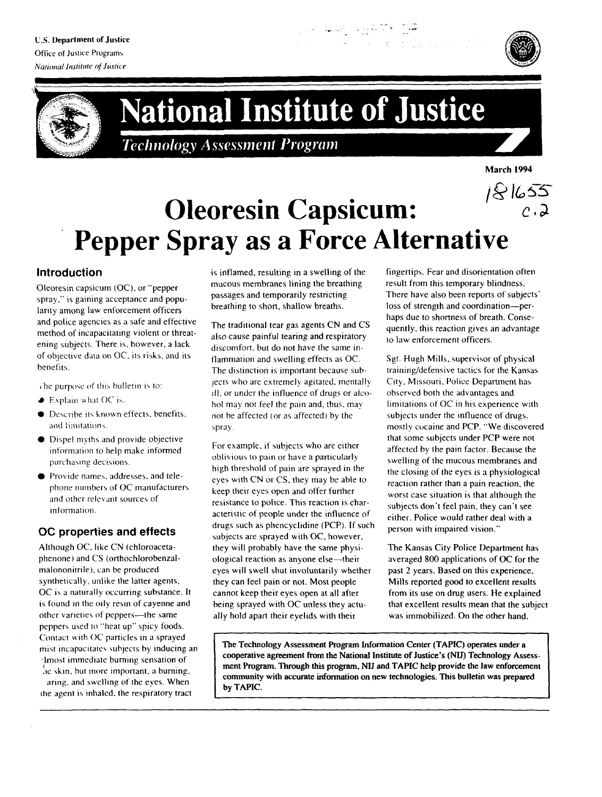**U.S. Department of Justice** Office of Justice Programs **National Institute of Justice** 





# **National Institute of Justice**

**Technology Assessment Program** 



 $\sim$ .

## 181655 **Oleoresin Capsicum: Pepper Spray as a Force Alternative**

### **Introduction**

Oleoresin capsicum (OC), or "pepper spray," is gaining acceptance and popularity among law enforcement officers and police agencies as a safe and effective method of incapacitating violent or threatening subjects. There is, however, a lack of objective data on OC, its risks, and its benefits.

The purpose of this bulletin is to:

- $\blacktriangleright$  Explain what OC is.
- Describe its known effects, benefits, and limitations.
- Dispel myths and provide objective information to help make informed purchasing decisions.
- Provide names, addresses, and telephone numbers of OC manufacturers and other relevant sources of information.

#### OC properties and effects

Although OC, like CN (chloroacetaphenone) and CS (orthochlorobenzalmalononitrile), can be produced synthetically, unlike the latter agents, OC is a naturally occurring substance. It is found in the oily resin of cayenne and other varieties of peppers-the same peppers used to "heat up" spicy foods. Contact with OC particles in a sprayed mist incapacitates subjects by inducing an Amost immediate burning sensation of he skin, but more important, a burning,

aring, and swelling of the eyes. When the agent is inhaled, the respiratory tract is inflamed, resulting in a swelling of the mucous membranes lining the breathing passages and temporarily restricting breathing to short, shallow breaths.

The traditional tear gas agents CN and CS also cause painful tearing and respiratory discomfort, but do not have the same inflammation and swelling effects as OC. The distinction is important because subjects who are extremely agitated, mentally ill, or under the influence of drugs or alcohol may not feel the pain and, thus, may not be affected (or as affected) by the spray.

For example, if subjects who are either oblivious to pain or have a particularly high threshold of pain are sprayed in the eyes with CN or CS, they may be able to keep their eyes open and offer further resistance to police. This reaction is characteristic of people under the influence of drugs such as phencyclidine (PCP). If such subjects are sprayed with OC, however, they will probably have the same physiological reaction as anyone else-their eyes will swell shut involuntarily whether they can feel pain or not. Most people cannot keep their eyes open at all after being sprayed with OC unless they actually hold apart their eyelids with their

fingertips. Fear and disorientation often result from this temporary blindness. There have also been reports of subjects' loss of strength and coordination-perhaps due to shortness of breath. Consequently, this reaction gives an advantage to law enforcement officers.

Sgt. Hugh Mills, supervisor of physical training/defensive tactics for the Kansas City, Missouri, Police Department has observed both the advantages and limitations of OC in his experience with subjects under the influence of drugs. mostly cocaine and PCP. "We discovered that some subjects under PCP were not affected by the pain factor. Because the swelling of the mucous membranes and the closing of the eyes is a physiological reaction rather than a pain reaction, the worst case situation is that although the subjects don't feel pain, they can't see either. Police would rather deal with a person with impaired vision."

The Kansas City Police Department has averaged 800 applications of OC for the past 2 years. Based on this experience, Mills reported good to excellent results from its use on drug users. He explained that excellent results mean that the subject was immobilized. On the other hand,

The Technology Assessment Program Information Center (TAPIC) operates under a cooperative agreement from the National Institute of Justice's (NIJ) Technology Assessment Program. Through this program, NIJ and TAPIC help provide the law enforcement community with accurate information on new technologies. This bulletin was prepared by TAPIC.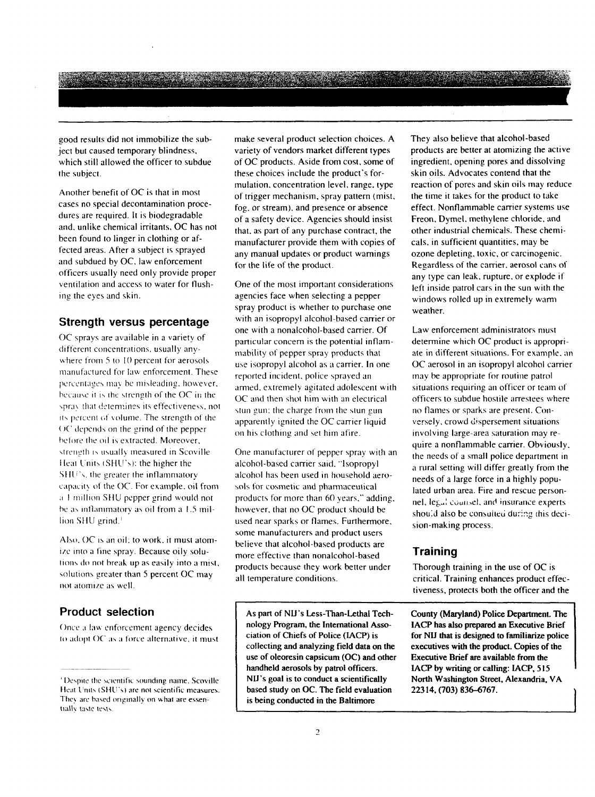<u>Kan tanah sahiji désa di kacamatan Sababatan Sababatan Sababatan Sababatan Sababatan Sababatan Sababatan Saba</u>

good results did not immobilize the subject but caused temporary blindness, which still allowed the officer to subdue the subject.

Another benefit of OC is that in most cases no special decontamination procedures are required. It is biodegradable and, unlike chemical irritants, OC has not been found to linger in clothing or affected areas. After a subject is sprayed and subdued by OC, law enforcement officers usually need only provide proper ventilation and access to water for flushing the eyes and skin.

#### Strength versus percentage

OC sprays are available in a variety of different concentrations, usually anywhere from 5 to 10 percent for aerosols manufactured for law enforcement. These percentages may be misleading, however, because it is the strength of the OC in the spray that determines its effectiveness, not its percent of volume. The strength of the OC depends on the grind of the pepper before the oil is extracted. Moreover, strength is usually measured in Scoville Heat Units (SHU's): the higher the SHU's, the greater the inflammatory capacity of the OC. For example, oil from a 1 million SHU pepper grind would not be as inflammatory as oil from a 1.5 million SHU grind.<sup>1</sup>

Also, OC is an oil; to work, it must atomize into a fine spray. Because oily solutions do not break up as easily into a mist, solutions greater than 5 percent OC may not atomize as well.

#### **Product selection**

Once a law enforcement agency decides to adopt OC as a force alternative, it must make several product selection choices. A variety of vendors market different types of OC products. Aside from cost, some of these choices include the product's formulation, concentration level, range, type of trigger mechanism, spray pattern (mist, fog, or stream), and presence or absence of a safety device. Agencies should insist that, as part of any purchase contract, the manufacturer provide them with copies of any manual updates or product warnings for the life of the product.

One of the most important considerations agencies face when selecting a pepper spray product is whether to purchase one with an isopropyl alcohol-based carrier or one with a nonalcohol-based carrier. Of particular concern is the potential inflammability of pepper spray products that use isopropyl alcohol as a carrier. In one reported incident, police sprayed an armed, extremely agitated adolescent with OC and then shot him with an electrical stun gun; the charge from the stun gun apparently ignited the OC carrier liquid on his clothing and set him afire.

One manufacturer of pepper spray with an alcohol-based carrier said, "Isopropyl alcohol has been used in household aerosols for cosmetic and pharmaceutical products for more than 60 years," adding, however, that no OC product should be used near sparks or flames. Furthermore, some manufacturers and product users believe that alcohol-based products are more effective than nonalcohol-based products because they work better under all temperature conditions.

As part of NIJ's Less-Than-Lethal Technology Program, the International Association of Chiefs of Police (IACP) is collecting and analyzing field data on the use of oleoresin capsicum (OC) and other handheld aerosols by patrol officers. NIJ's goal is to conduct a scientifically based study on OC. The field evaluation is being conducted in the Baltimore

They also believe that alcohol-based products are better at atomizing the active ingredient, opening pores and dissolving skin oils. Advocates contend that the reaction of pores and skin oils may reduce the time it takes for the product to take effect. Nonflammable carrier systems use Freon, Dymel, methylene chloride, and other industrial chemicals. These chemicals, in sufficient quantities, may be ozone depleting, toxic, or carcinogenic. Regardless of the carrier, aerosol cans of any type can leak, rupture, or explode if left inside patrol cars in the sun with the windows rolled up in extremely warm weather.

Law enforcement administrators must determine which OC product is appropriate in different situations. For example, an OC aerosol in an isopropyl alcohol carrier may be appropriate for routine patrol situations requiring an officer or team of officers to subdue hostile arrestees where no flames or sparks are present. Conversely, crowd dispersement situations involving large-area saturation may require a nonflammable carrier. Obviously, the needs of a small police department in a rural setting will differ greatly from the needs of a large force in a highly populated urban area. Fire and rescue personnel, legal counsel, and insurance experts should also be consulted during this decision-making process.

#### **Training**

Thorough training in the use of OC is critical. Training enhances product effectiveness, protects both the officer and the

County (Maryland) Police Department. The IACP has also prepared an Executive Brief for NIJ that is designed to familiarize police executives with the product. Copies of the Executive Brief are available from the IACP by writing or calling: IACP, 515 North Washington Street, Alexandria, VA 22314, (703) 836-6767.

<sup>&</sup>lt;sup>1</sup> Despite the scientific sounding name, Scoville Heat Units (SHU's) are not scientific measures. They are based originally on what are essentially taste tests.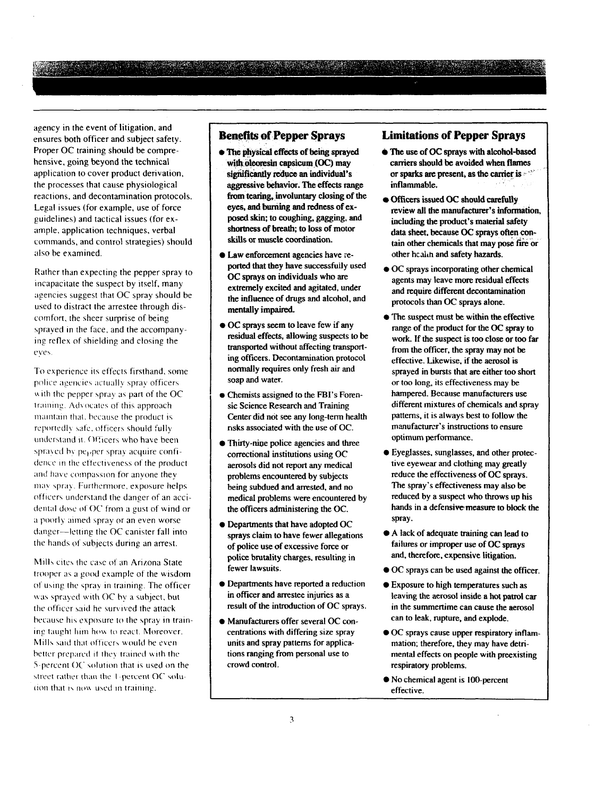agency in the event of litigation. and ensures both officer and subject safety. Proper OC training should be comprehensive, going beyond the technical application to cover product derivation, the processes that cause physiological reactions, and decontamination protocols. Legal issues (for example, use of force guidelines) and tactical issues (for example. application techniques, verbal commands, and control strategies) should also be examined.

Rather than expecting the pepper spray to incapacitate the suspect by itself, many agencies suggest that OC spray should be used to distract the arrestee through discomfort. the sheer surprise of being sprayed in the face, and the accompanying reflex of shielding and closing the eve\

To experience its effects firsthand, some police agencies actually spray officers with the pepper spray as part of the OC training. Advocates of this approach maintain that, because the product is reportedly safe, officers should fully understand it. Officers who have been sprayed by  $pe<sub>P</sub>$  per spray acquire confidence in the effectiveness of the product and have compassion for anyone they may spray. Furthermore, exposure helps. officers understand the danger of an accidental dose of OC from a gust of wind or a poorly aimed spray or an even worse  $d$ anger-letting the OC canister fall into the hands of subjects during an arrest.

Mills cites the case of an Arizona State trooper as a good example of the wisdom of using the spray in training. The officer was sprayed with OC by a subject, but the officer said he survived the attack because his exposure to the spray in training taught him how to react. Moreover, Mills said that officers would be even better prepared if they trained with the 5-percent  $OC$  solution that is used on the street rather than the 1-percent  $OC$  soludon that is now used in training.

#### **Benefits of Pepper Sprays**

- **0** The physical effects of being sprayed with oleoresin capsicum **(OC)** may significantly reduce an individual's aggressive behavior. The effects range from tearing, involuntary closing of the eyes, and burning and redness of exposed skin, to coughing, gagging, and shortness of breath; to loss of motor skills or muscle coordination.
- Law enforcement agencies have reported that they have successfuily used OC sprays on individuals who **are**  extremely excited and agitated, under the influence of drugs and alcohol, and mentally impaired.
- OC sprays seem to leave few if any residual effects. allowing suspects to **be**  transported without affecting transport**ing** officers. Decontamination protocol normally requires only fresh air and soap and water.
- **0** Chemists assigned to the FBI's Forensic Science Research and Training Center did not see any long-term health nsks associated with the use of OC.
- Thirty-nine police agencies and three correctional institutions using OC aerosols did not report any medical problems encountered by subjects being subdued and arrested, and no medical problems were encountered by the officers administering the OC.
- Departments that have adopted OC sprays claim to have fewer allegations of police use of excessive force or **police** brutality charges, resulting in fewer lawsuits.
- Departments have reported a reduction in officer and arrestee injuries as a result of the introduction of OC sprays.
- Manufacturers offer several OC concentrations with differing size spray units and spray pattems for applications ranging from personal use to crowd control.

#### **Limitations of Pepper Sprays**

- The use of OC sprays with alcohol-based **carriers** should **be** avoided **when** flames or sparks **arr:** present, as the **canier** is - "' inflammable,
- Officers issued OC should **carefully**  review all the manufacturer's information. including the product's material safety data sheet, because *OC* sprays often contain other chemicals that may pose fire or other health and safety hazards.
- OC sprays incorporating other chemical agents may leave more residual effects and require different decontamination protocols than OC sprays alone.
- The suspect must be within the effective range of the product for the **OC** spray to work. If the suspect is too close or too far from the officer, the spray may not be effective. Likewise. if the aerosol is sprayed in bursts that are either too short or too long, its effectiveness may be hampered. Because manufacturers use different mixtures of chemicals and spray patterns. it is always best to follow the manufacturer's instructions to ensure optimum performance.
- Eyeglasses, sunglasses, and other protective eyewear and clothing may greatly reduce the effectiveness of OC sprays. The spray's effectiveness may also **be**  reduced by a suspect who throws up his hands in a defensive measure to block the spray.
- **A** lack of adequate training can lead to failures or improper use of OC sprays and. therefore, expensive litigation.
- OC sprays can **be** used against the officer.
- Exposure to high temperatures such as leaving the aerosol inside a hot patrol car in the summertime can cause the aerosol can to leak, rupture, and explode.
- OC sprays cause upper respiratory inflammation; therefore. they may have detrimental effects on people with preexisting respiratory problems.
- No chemical agent is 100-percent effective.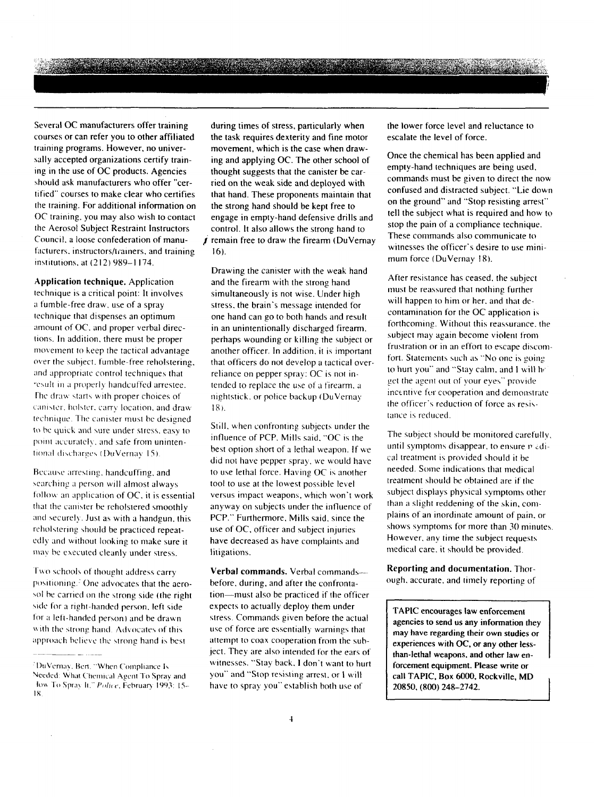a sa mga banda ng mga banda ng mga banda ng mga banda ng mga banda ng mga banda ng mga banda ng mga banda ng m

Several OC manufacturers offer training courses or can refer you to other affiliated training programs. However, no universally accepted organizations certify training in the use of OC products. Agencies should ask manufacturers who offer "certified" courses to make clear who certifies the training. For additional information on OC training. you may also wish to contact the Aerosol Subject Restraint Instructors Council. a loose confederation of manufacturers. instructors/trainers, and training institutions, at (212) 989-1174.

Application technique. Application technique is a critical point: It involves a fumble-free draw. use of a spray technique that dispenses an optimum amount of OC. and proper verbal directions. In addition. there must be proper movement to keep the tactical advantage over the subject, fumble-free reholstering. and appropriate control techniques that result in a properly handcuffed arrestee. The draw starts with proper choices of canister, holster, carry location, and draw technique. The canister must be designed to be quick and sure under stress, easy to point accurately, and safe from unintentional discharges (DuVernay 15)

Because arresting, handcuffing, and searching a person will almost always follow an application of  $OC$ , it is essential that the canister be reholstered smoothly and securely. Just as with a handgun. this reholstering should be practiced repeatedly and without looking to make sure it may be executed cleanly under stress.

Two schools of thought address carry positioning.<sup>2</sup> One advocates that the aerosol be carried on the strong side (the right side for a right-handed person, left side for a left-handed person) and be drawn with the strong hand. Advocates of this approach believe the strong hand is best

during times of stress, particularly when the task requires dexterity and fine motor movement, which is the case when drawing and applying OC. The other school of thought suggests that the canister be carried on the weak side and deployed with that hand. These proponents maintain that the strong hand should be kept free to engage in empty-hand defensive drills and control. It also allows the strong hand to  $\vec{J}$  remain free to draw the firearm (DuVernay 16).

Drawing the canister with the weak hand and the firearm with the strong hand simultaneously is not wise. Under high stress. the brain's message intended for one hand can go to both hands and result in an unintentionally discharged firearm. perhaps wounding or killing the subject or another officer. In addition, it is important that officers do not develop a tactical overreliance on pepper spray: OC is not intended to replace the use of a firearm, a nightstick. or police backup (DuVernay 18 ).

Still, when confronting subjects under the influence of PCP. Mills said. "OC is the best option short of a lethal weapon. If we did not have pepper spray. we would have to use lethal force. Having OC is another tool to use at the lowest possible level versus impact weapons, which won't work anyway on subjects under the influence of PCP." Furthermore. Mills said. since the use of OC, officer and subject injuries have decreased as have complaints and litigations.

Verbal commands. Verbal commands-before, during, and after the confrontation-must also be practiced if the officer expects to actually deploy them under stress. Commands given before the actual use of force are essentially warnings that attempt to coax cooperation from the subject. They are also intended for the ears of witnesses. "Stay back. I don't want to hurt you" and "Stop resisting arrest. or I will have to spray you" establish both use of

the lower force level and reluctance **lo**  escalate the level of force.

Once the chemical has been applied and empty-hand techniques are being used, commands must be given to direct the now confused and distracted subject. "Lie down on the ground" and "Stop resisting arrest" tell the subject what is required and how to stop the pain of a compliance technique. These commands also communicate to witnesses the officer's desire to use minimum force (DuVernay **18).** 

After resistance has ceased. the subject must be reassured that nothing further will happen to him or her, and that decontamination for the OC application is forthcoming. Without this reassurance, the subject may again become violent from frustration or in an effort to escape discomfort. Statements such as "No one is going to hurt you" and "Stay calm, and I will he get the agent out of your eyes" provide. incentive for cooperation and demonstrate the officer's reduction of force as resistance is reduced.

The subject should be monitored carefullv. until symptoms disappear, to ensure  $\vec{r}$  *edi*cal treatment is provided should it be needed. Some indications that medical treatment should he obtained are if the subject displays physical symptoms other than a slight reddening of the skin, complains of an inordinate amount of pain. or shows symptoms for more than 30 minutes However. any rime the subject requests medical care. it should he provided.

Reporting and documentation. Thorough. accurate. and timely reporting of

TAPIC encourages law enforcement agencies to send us any information they may have regarding their own studies or experiences with *OC,* or any other lessthan-lethal weapons. and other law enforcement equipment. Please write or call TAPIC. Box **6000,** Rockville, MD **20850, (800) 248-2742.** 

<sup>&</sup>lt;sup>2</sup>DuVernay, Bert, "When Compliance Is Needed: What Chemical Agent To Spray and How To Spray It," Police, February 1993: 15--18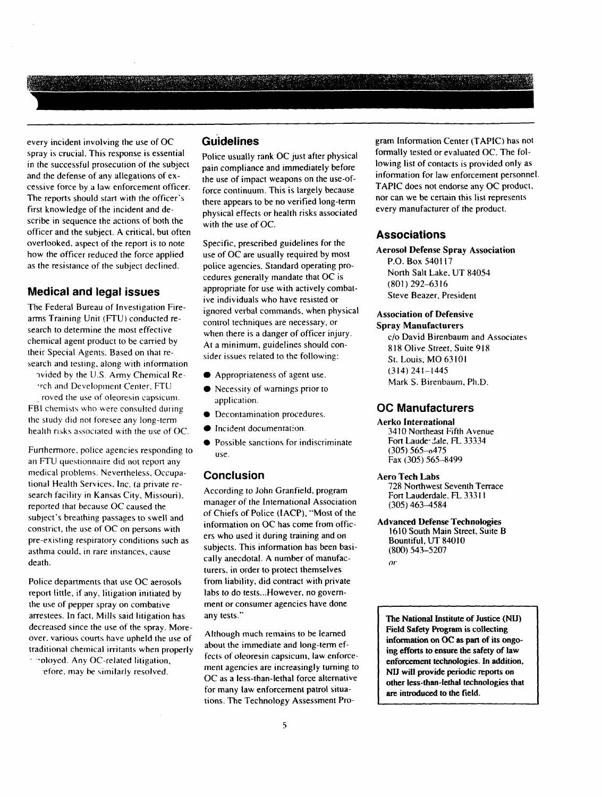every incident involving the use of OC spray is crucial. This response is essential in the successful prosecution of the subject and the defense of any allegations of excessive force by a law enforcement officer. The reports should start with the officer's first knowledge of the incident and describe in sequence the actions of both the officer and the subject. A critical, but often overlooked. aspect of the report is to note how the officer reduced the force applied as the resistance of the subject declined.

#### **Medical and legal issues**

The Federal Bureau of Investigation Firearms Training Unit (FTU) conducted research to determine the most effective chemical agent product to be carried by their Special Agents. Based on that research and testing, along with information

wided by the U.S. Army Chemical Re rch and Development Center. FTU

, roved the use of oleoresin capsicum. FBI chemists who were consulted during the study did not foresee any long-term health risks associated with the use of OC.

Furthermore, police agencies responding to an FTU questionnaire did not report any medical problems. Nevertheless. Occupational Health Services, Inc. (a private research facility in Kansas City, Missouri). reported that because OC caused the subject's breathing passages to swell and constrict. the use of OC on persons with pre-existing respiratory conditions such as asthma could. in rare instances, cause death.

Police departments that use OC aerosols report little, if any. litigation initiated by the use of pepper spray on combative arrestees. In facl. Mills said litigation has decreased since the use of the spray. Moreover. various courts have upheld the use of traditional chemical irritants when properly - --oloyed. Any OC-related litigation,

.efore. may **be** \imilarly resolved.

#### **~uidelines**

Police usually rank OC just after physical pain compliance and immediately before the use of impact weapons on the use-offorce continuum. This is largely because there appears to be no verified long-term physical effects or health risks associated with the use of OC.

Specific, prescribed guidelines for the use of OC are usually required by most police agencies. Standard operating procedures generally mandate that OC is appropriate for use with actively comhative individuals who have resisted or ignored verbal commands, when physical control techniques are necessary. or when there is a danger of officer injury. At a minimum, guidelines should consider issues related to the following:

- Appropriateness of agent use.
- Necessity of warnings prior to application.
- **0** Decontamination procedures.
- **Incident documentation**
- **•** Possible sanctions for indiscriminate use.

#### **Conclusion**

According to John Granfield, program manager of the International Association of Chiefs of Police (IACP), "Most of the information on OC has come from officers who used it during training and on subjects. This information has been basically anecdotal. A number of manufacturers. in order to protect themselves from liability, did contract with private labs to do tests... However, no government or consumer agencies have done any tests."

Although much remains to be learned about the immediate and long-term effects of oleoresin capsicum, law enforcement agencies are increasingly turning to OC as a less-than-lethal force alternative for many law enforcement patrol situations. The Technology Assessment Program Information Center (TAPIC) has not formally tested or evaluated OC. The following list of contacts is provided only as information for law enforcement personnel. TAPIC does not endorse any OC product. nor can we be certain this list represents every manufacturer of the product.

#### **Associations**

**Aerosol Defense Spray Association**  P.O. Box 540117 North Salt Lake. UT 83054 (801 ) 292-63 16 Steve Beazer, President

#### **Association of Defensive**

**Spray Manufacturers**  c/o David Birenbaum and Associates 8 18 Olive Street, Suite 9 18 St. Louis, MO 63101 (314) 241-1445 Mark S. Birenbaum. Ph.D.

#### **OC Manufacturers**

**Aerko International**  3410 Northeast Fifth Avenue Fort Lauder Jale, FL 33334 (305) 565-0475 Fax (305) 565-8499

#### **Aero Tech Labs**

728 Northwest Seventh Terrace Fort Lauderdale. **FL** 333 1 I (305) 463-4584

**Advanced Defense Technologies**  1610 South Main Street, Suite B Bountiful, UT 84010 (800) 543-5207 **01'** 

**The National Institute of Justice (NII) Field Safety Program is collecting**  information on OC as part of its ongo**ing efforts to ensure the safety of law enforcement technologies. In addition. NIJ will provide periodic reports on other less-than-lethal technologies that are introduced to the field.**